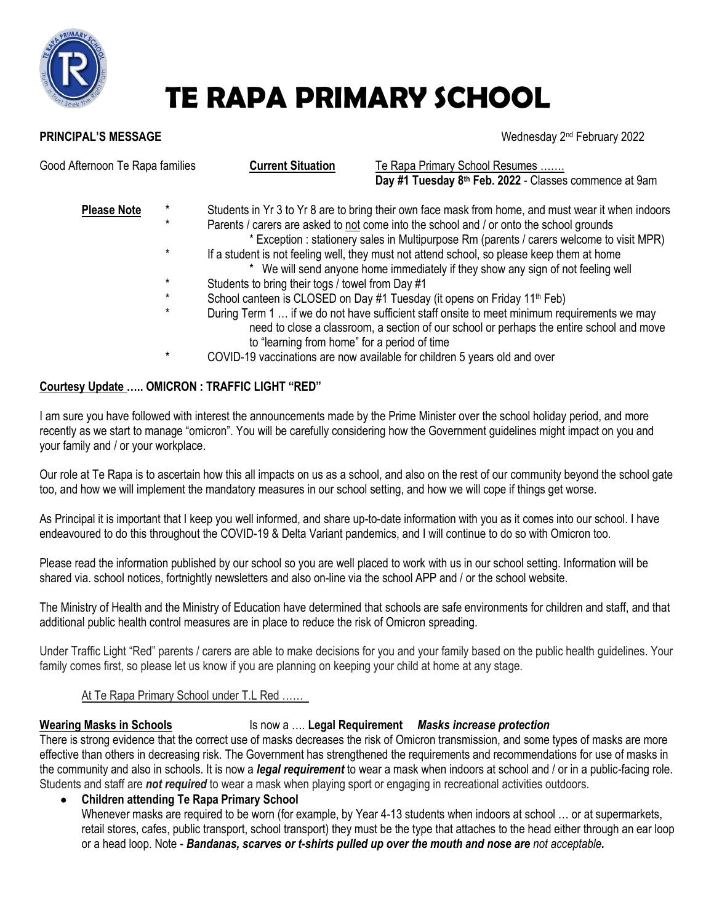

# **TE RAPA PRIMARY SCHOOL**

### **PRINCIPAL'S MESSAGE**

Wednesday 2<sup>nd</sup> February 2022

| Good Afternoon Te Rapa families | <b>Current Situation</b>                                                                                                                                                             | Te Rapa Primary School Resumes<br>Day #1 Tuesday 8th Feb. 2022 - Classes commence at 9am                                                                                                 |
|---------------------------------|--------------------------------------------------------------------------------------------------------------------------------------------------------------------------------------|------------------------------------------------------------------------------------------------------------------------------------------------------------------------------------------|
| <b>Please Note</b>              |                                                                                                                                                                                      | Students in Yr 3 to Yr 8 are to bring their own face mask from home, and must wear it when indoors                                                                                       |
| $\ast$                          | Parents / carers are asked to not come into the school and / or onto the school grounds<br>* Exception : stationery sales in Multipurpose Rm (parents / carers welcome to visit MPR) |                                                                                                                                                                                          |
| $\ast$                          | If a student is not feeling well, they must not attend school, so please keep them at home<br>We will send anyone home immediately if they show any sign of not feeling well         |                                                                                                                                                                                          |
| $\star$                         | Students to bring their togs / towel from Day #1                                                                                                                                     |                                                                                                                                                                                          |
| *                               |                                                                                                                                                                                      | School canteen is CLOSED on Day #1 Tuesday (it opens on Friday 11 <sup>th</sup> Feb)                                                                                                     |
| $\ast$                          | to "learning from home" for a period of time                                                                                                                                         | During Term 1  if we do not have sufficient staff onsite to meet minimum requirements we may<br>need to close a classroom, a section of our school or perhaps the entire school and move |
| $\ast$                          |                                                                                                                                                                                      | COVID-19 vaccinations are now available for children 5 years old and over                                                                                                                |

# **Courtesy Update ….. OMICRON : TRAFFIC LIGHT "RED"**

I am sure you have followed with interest the announcements made by the Prime Minister over the school holiday period, and more recently as we start to manage "omicron". You will be carefully considering how the Government guidelines might impact on you and your family and / or your workplace.

Our role at Te Rapa is to ascertain how this all impacts on us as a school, and also on the rest of our community beyond the school gate too, and how we will implement the mandatory measures in our school setting, and how we will cope if things get worse.

As Principal it is important that I keep you well informed, and share up-to-date information with you as it comes into our school. I have endeavoured to do this throughout the COVID-19 & Delta Variant pandemics, and I will continue to do so with Omicron too.

Please read the information published by our school so you are well placed to work with us in our school setting. Information will be shared via. school notices, fortnightly newsletters and also on-line via the school APP and / or the school website.

The Ministry of Health and the Ministry of Education have determined that schools are safe environments for children and staff, and that additional public health control measures are in place to reduce the risk of Omicron spreading.

Under Traffic Light "Red" parents / carers are able to make decisions for you and your family based on the public health guidelines. Your family comes first, so please let us know if you are planning on keeping your child at home at any stage.

## At Te Rapa Primary School under T.L Red ……

# **Wearing Masks in Schools** Is now a .... Legal Requirement Masks increase protection

There is strong evidence that the correct use of masks decreases the risk of Omicron transmission, and some types of masks are more effective than others in decreasing risk. The Government has strengthened the requirements and recommendations for use of masks in the community and also in schools. It is now a *legal requirement* to wear a mask when indoors at school and / or in a public-facing role. Students and staff are *not required* to wear a mask when playing sport or engaging in recreational activities outdoors.

**Children attending Te Rapa Primary School**

Whenever masks are required to be worn (for example, by Year 4-13 students when indoors at school ... or at supermarkets, retail stores, cafes, public transport, school transport) they must be the type that attaches to the head either through an ear loop or a head loop. Note - *Bandanas, scarves or t-shirts pulled up over the mouth and nose are not acceptable.*